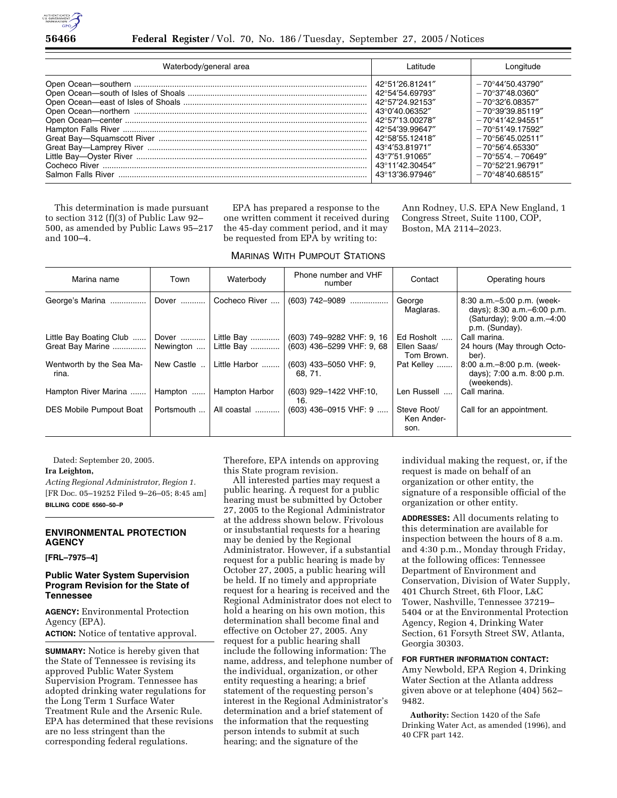

| Waterbody/general area | l atitude.      | Longitude                      |
|------------------------|-----------------|--------------------------------|
|                        | 42°51′26.81241″ | $-70^{\circ}$ 44'50.43790"     |
|                        | 42°54'54.69793″ | $-70^{\circ}37'48.0360''$      |
|                        | 42°57'24.92153″ | $-70^{\circ}32'6.08357''$      |
|                        | 43°0'40.06352″  | $-70^{\circ}39'39.85119''$     |
|                        | 42°57'13.00278" | $-70^{\circ}41'42.94551''$     |
|                        | 42°54'39.99647" | $-70^{\circ}51'49.17592''$     |
|                        | 42°58'55.12418" | $-70^{\circ}56'45.02511''$     |
|                        | 43°4′53.81971″  | $-70^{\circ}56'4.65330''$      |
|                        | 43°7'51.91065"  | $-70^{\circ}55'4$ . $-70649''$ |
|                        | 43°11'42.30454" | $-70^{\circ}52'21.96791''$     |
|                        | 43°13′36.97946″ | $-70^{\circ}48'40.68515''$     |

This determination is made pursuant to section 312 (f)(3) of Public Law 92– 500, as amended by Public Laws 95–217 and 100–4.

EPA has prepared a response to the one written comment it received during the 45-day comment period, and it may be requested from EPA by writing to:

MARINAS WITH PUMPOUT STATIONS

Ann Rodney, U.S. EPA New England, 1 Congress Street, Suite 1100, COP, Boston, MA 2114–2023.

| Marina name                       | Town       | Waterbody      | Phone number and VHF<br>number   | Contact                           | Operating hours                                                                                               |
|-----------------------------------|------------|----------------|----------------------------------|-----------------------------------|---------------------------------------------------------------------------------------------------------------|
| George's Marina                   | Dover      | Cocheco River  | $(603)$ 742-9089                 | George<br>Maglaras.               | 8:30 a.m. - 5:00 p.m. (week-<br>days); 8:30 a.m. - 6:00 p.m.<br>(Saturday); 9:00 a.m. -4:00<br>p.m. (Sunday). |
| Little Bay Boating Club           | Dover      | Little Bay     | (603) 749-9282 VHF: 9, 16        | Ed Rosholt                        | Call marina.                                                                                                  |
| Great Bay Marine                  | Newington  | Little Bay     | (603) 436-5299 VHF: 9, 68        | Ellen Saas/<br>Tom Brown.         | 24 hours (May through Octo-<br>ber).                                                                          |
| Wentworth by the Sea Ma-<br>rina. | New Castle | Little Harbor  | (603) 433-5050 VHF: 9.<br>68.71. | Pat Kelley                        | 8:00 a.m. - 8:00 p.m. (week-<br>days); 7:00 a.m. 8:00 p.m.<br>(weekends).                                     |
| Hampton River Marina              | Hampton    | Hampton Harbor | (603) 929-1422 VHF:10,<br>16.    | Len Russell                       | Call marina.                                                                                                  |
| <b>DES Mobile Pumpout Boat</b>    | Portsmouth | All coastal    | $(603)$ 436-0915 VHF: 9          | Steve Root/<br>Ken Ander-<br>son. | Call for an appointment.                                                                                      |

Dated: September 20, 2005.

### **Ira Leighton,**

*Acting Regional Administrator, Region 1.*  [FR Doc. 05–19252 Filed 9–26–05; 8:45 am] **BILLING CODE 6560–50–P** 

# **ENVIRONMENTAL PROTECTION AGENCY**

#### **[FRL–7975–4]**

## **Public Water System Supervision Program Revision for the State of Tennessee**

**AGENCY:** Environmental Protection Agency (EPA). **ACTION:** Notice of tentative approval.

**SUMMARY:** Notice is hereby given that the State of Tennessee is revising its approved Public Water System Supervision Program. Tennessee has adopted drinking water regulations for the Long Term 1 Surface Water Treatment Rule and the Arsenic Rule. EPA has determined that these revisions are no less stringent than the corresponding federal regulations.

Therefore, EPA intends on approving this State program revision.

All interested parties may request a public hearing. A request for a public hearing must be submitted by October 27, 2005 to the Regional Administrator at the address shown below. Frivolous or insubstantial requests for a hearing may be denied by the Regional Administrator. However, if a substantial request for a public hearing is made by October 27, 2005, a public hearing will be held. If no timely and appropriate request for a hearing is received and the Regional Administrator does not elect to hold a hearing on his own motion, this determination shall become final and effective on October 27, 2005. Any request for a public hearing shall include the following information: The name, address, and telephone number of the individual, organization, or other entity requesting a hearing; a brief statement of the requesting person's interest in the Regional Administrator's determination and a brief statement of the information that the requesting person intends to submit at such hearing; and the signature of the

individual making the request, or, if the request is made on behalf of an organization or other entity, the signature of a responsible official of the organization or other entity.

**ADDRESSES:** All documents relating to this determination are available for inspection between the hours of 8 a.m. and 4:30 p.m., Monday through Friday, at the following offices: Tennessee Department of Environment and Conservation, Division of Water Supply, 401 Church Street, 6th Floor, L&C Tower, Nashville, Tennessee 37219– 5404 or at the Environmental Protection Agency, Region 4, Drinking Water Section, 61 Forsyth Street SW, Atlanta, Georgia 30303.

### **FOR FURTHER INFORMATION CONTACT:**

Amy Newbold, EPA Region 4, Drinking Water Section at the Atlanta address given above or at telephone (404) 562– 9482.

**Authority:** Section 1420 of the Safe Drinking Water Act, as amended (1996), and 40 CFR part 142.